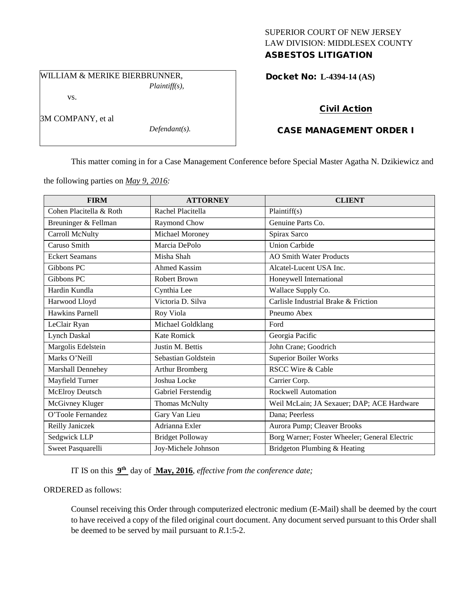### SUPERIOR COURT OF NEW JERSEY LAW DIVISION: MIDDLESEX COUNTY ASBESTOS LITIGATION

WILLIAM & MERIKE BIERBRUNNER,

vs.

3M COMPANY, et al

*Plaintiff(s),*

*Defendant(s).*

Docket No: **L-4394-14 (AS)** 

# Civil Action

# CASE MANAGEMENT ORDER I

This matter coming in for a Case Management Conference before Special Master Agatha N. Dzikiewicz and

the following parties on *May 9, 2016:*

| <b>FIRM</b>             | <b>ATTORNEY</b>         | <b>CLIENT</b>                                 |
|-------------------------|-------------------------|-----------------------------------------------|
| Cohen Placitella & Roth | Rachel Placitella       | Plaintiff(s)                                  |
| Breuninger & Fellman    | Raymond Chow            | Genuine Parts Co.                             |
| Carroll McNulty         | Michael Moroney         | Spirax Sarco                                  |
| Caruso Smith            | Marcia DePolo           | <b>Union Carbide</b>                          |
| <b>Eckert Seamans</b>   | Misha Shah              | <b>AO Smith Water Products</b>                |
| Gibbons PC              | <b>Ahmed Kassim</b>     | Alcatel-Lucent USA Inc.                       |
| Gibbons PC              | <b>Robert Brown</b>     | Honeywell International                       |
| Hardin Kundla           | Cynthia Lee             | Wallace Supply Co.                            |
| Harwood Lloyd           | Victoria D. Silva       | Carlisle Industrial Brake & Friction          |
| Hawkins Parnell         | Roy Viola               | Pneumo Abex                                   |
| LeClair Ryan            | Michael Goldklang       | Ford                                          |
| <b>Lynch Daskal</b>     | <b>Kate Romick</b>      | Georgia Pacific                               |
| Margolis Edelstein      | Justin M. Bettis        | John Crane; Goodrich                          |
| Marks O'Neill           | Sebastian Goldstein     | <b>Superior Boiler Works</b>                  |
| Marshall Dennehey       | <b>Arthur Bromberg</b>  | <b>RSCC Wire &amp; Cable</b>                  |
| Mayfield Turner         | Joshua Locke            | Carrier Corp.                                 |
| McElroy Deutsch         | Gabriel Ferstendig      | <b>Rockwell Automation</b>                    |
| McGivney Kluger         | Thomas McNulty          | Weil McLain; JA Sexauer; DAP; ACE Hardware    |
| O'Toole Fernandez       | Gary Van Lieu           | Dana; Peerless                                |
| Reilly Janiczek         | Adrianna Exler          | Aurora Pump; Cleaver Brooks                   |
| Sedgwick LLP            | <b>Bridget Polloway</b> | Borg Warner; Foster Wheeler; General Electric |
| Sweet Pasquarelli       | Joy-Michele Johnson     | Bridgeton Plumbing & Heating                  |

IT IS on this **9th** day of **May, 2016**, *effective from the conference date;*

### ORDERED as follows:

Counsel receiving this Order through computerized electronic medium (E-Mail) shall be deemed by the court to have received a copy of the filed original court document. Any document served pursuant to this Order shall be deemed to be served by mail pursuant to *R*.1:5-2.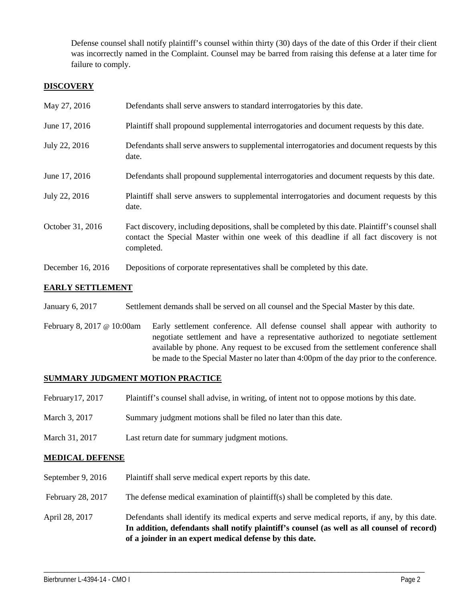Defense counsel shall notify plaintiff's counsel within thirty (30) days of the date of this Order if their client was incorrectly named in the Complaint. Counsel may be barred from raising this defense at a later time for failure to comply.

### **DISCOVERY**

| May 27, 2016      | Defendants shall serve answers to standard interrogatories by this date.                                                                                                                                    |
|-------------------|-------------------------------------------------------------------------------------------------------------------------------------------------------------------------------------------------------------|
| June 17, 2016     | Plaintiff shall propound supplemental interrogatories and document requests by this date.                                                                                                                   |
| July 22, 2016     | Defendants shall serve answers to supplemental interrogatories and document requests by this<br>date.                                                                                                       |
| June 17, 2016     | Defendants shall propound supplemental interrogatories and document requests by this date.                                                                                                                  |
| July 22, 2016     | Plaintiff shall serve answers to supplemental interrogatories and document requests by this<br>date.                                                                                                        |
| October 31, 2016  | Fact discovery, including depositions, shall be completed by this date. Plaintiff's counsel shall<br>contact the Special Master within one week of this deadline if all fact discovery is not<br>completed. |
| December 16, 2016 | Depositions of corporate representatives shall be completed by this date.                                                                                                                                   |

## **EARLY SETTLEMENT**

- January 6, 2017 Settlement demands shall be served on all counsel and the Special Master by this date.
- February 8, 2017 @ 10:00am Early settlement conference. All defense counsel shall appear with authority to negotiate settlement and have a representative authorized to negotiate settlement available by phone. Any request to be excused from the settlement conference shall be made to the Special Master no later than 4:00pm of the day prior to the conference.

### **SUMMARY JUDGMENT MOTION PRACTICE**

- February17, 2017 Plaintiff's counsel shall advise, in writing, of intent not to oppose motions by this date.
- March 3, 2017 Summary judgment motions shall be filed no later than this date.
- March 31, 2017 Last return date for summary judgment motions.

### **MEDICAL DEFENSE**

- September 9, 2016 Plaintiff shall serve medical expert reports by this date.
- February 28, 2017 The defense medical examination of plaintiff(s) shall be completed by this date.
- April 28, 2017 Defendants shall identify its medical experts and serve medical reports, if any, by this date. **In addition, defendants shall notify plaintiff's counsel (as well as all counsel of record) of a joinder in an expert medical defense by this date.**

\_\_\_\_\_\_\_\_\_\_\_\_\_\_\_\_\_\_\_\_\_\_\_\_\_\_\_\_\_\_\_\_\_\_\_\_\_\_\_\_\_\_\_\_\_\_\_\_\_\_\_\_\_\_\_\_\_\_\_\_\_\_\_\_\_\_\_\_\_\_\_\_\_\_\_\_\_\_\_\_\_\_\_\_\_\_\_\_\_\_\_\_\_\_\_\_\_\_\_\_\_\_\_\_\_\_\_\_\_\_